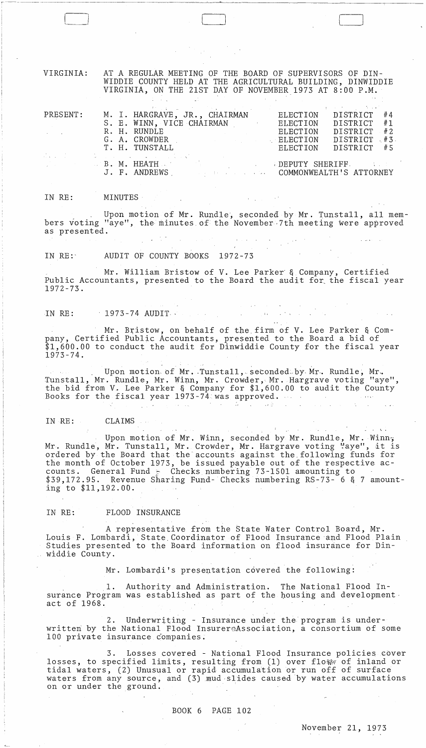VIRGINIA: AT A REGULAR MEETING OF THE BOARD OF SUPERVISORS OF DIN-WIDDIE COUNTY HELD AT THE AGRICULTURAL BUILDING, DINWIDDIE VIRGINIA, ON THE 21ST DAY OF NOVEMBER 1973 AT 8:00 P.M.

|                          | ほかしょう エンジオン くみない しょうひょうしょう しゅうしょう                                                                                                                                                                                              |                 | provided a state of the control of the con- |
|--------------------------|--------------------------------------------------------------------------------------------------------------------------------------------------------------------------------------------------------------------------------|-----------------|---------------------------------------------|
| PRESENT:                 | M. I. HARGRAVE, JR., CHAIRMAN                                                                                                                                                                                                  |                 | ELECTION DISTRICT #4                        |
|                          | S. E. WINN, VICE CHAIRMAN                                                                                                                                                                                                      | ELECTION        | DISTRICT #1                                 |
| <b>Contract Contract</b> | R. H. RUNDLE                                                                                                                                                                                                                   | ELECTION        | DISTRICT #2                                 |
|                          | G. A. CROWDER                                                                                                                                                                                                                  | <b>ELECTION</b> | DISTRICT #3                                 |
|                          | T. H. TUNSTALL                                                                                                                                                                                                                 | ELECTION        | DISTRICT #5                                 |
|                          | and the contract of the contract of the contract of the contract of the contract of the contract of the contract of the contract of the contract of the contract of the contract of the contract of the contract of the contra |                 |                                             |
|                          | <b>Experiment of B. M. HEATH and South Contract of the Contract of Contract Angle</b> Structure of the Contract of Con                                                                                                         |                 |                                             |
|                          | J. F. ANDREWS COMMONWEALTH'S ATTORNEY                                                                                                                                                                                          |                 |                                             |
|                          |                                                                                                                                                                                                                                |                 |                                             |

#### IN RE: MINUTES

Upon motion of Mr. Rundle', seconded by Mr. Tunstall, all members voting "aye", the minutes of the November 7th meeting were approved as presented.

IN RE: AUDIT OF COUNTY BOOKS 1972-73

Mr. William Bristow of V. Lee Parker' & Company, Certified Public Accountants, presented to the Board the audit for, the fiscal year 1972-73.

## IN RE: 1973-74 AUDIT.

Mr. Bristow, on behalf of the firm of V. Lee Parker & Company, Certified Public Accountants, presented to the Board a bid of \$1,600.00 to conduct the audit for Dinwiddie County for the fiscal year 1973-74.

Upon motion of Mr. Tunstall, seconded by Mr. Rundle, Mr. Tunstall, Mr. Rundle, Mr. Winn, Mr. Crowder, Mr. Hargrave voting "aye", the bid from V. Lee Parker & Company for  $1,600.00$  to audit the County Books for the fiscal year 1973-74 was approved.

 $\sim 10^{-10}$ 

# IN RE:  $\,$  CLAIMS  $\,$  .  $\,$  .  $\,$  .  $\,$  .  $\,$  .  $\,$  .  $\,$  .  $\,$  .  $\,$  .  $\,$  .  $\,$  .  $\,$  .  $\,$  .  $\,$  .  $\,$  .  $\,$  .  $\,$  .  $\,$  .  $\,$  .  $\,$  .  $\,$  .  $\,$  .  $\,$  .  $\,$  .  $\,$  .  $\,$  .  $\,$  .  $\,$  .  $\,$  .

Upon motion of Mr. Winn, seconded by Mr. Rundle, Mr. Winn, upon motion of Mr. winn, seconded by Mr. Rundle, Mr. winn,<br>Mr. Rundle, Mr. Tunstall, Mr. Crowder, Mr. Hargrave voting "aye", it is ordered by the Board that the'accounts against the,following funds for the month of October 1973, be issued payable out of the respective accounts. General Fund  $\frac{1}{6}$  Checks numbering 73-1501 amounting to \$39,172.95. Revenue Sharing Fund- Checks numbering RS-73- 6 & 7 amounting to \$11,192.00.

## IN RE: FLOOD INSURANCE

, and the set of the set of the set of the set of the set of the set of the set of the set of the set of the set of the set of the set of the set of the set of the set of the set of the set of the set of the set of the se

A representative from the State Water Control Board, Mr. Louis F. Lombardi, State Coordinator of Flood Insurance and Flood Plain Studies presented to the Board information on flood insurance for Dinwiddie County.

Mr. Lombardi's presentation covered the following:

1. Authority and Administration. The National Flood Insurance Program was established as part of the housing and development· act of 1968.

2. Underwriting - Insurance under the program is underwritten by the National Flood InsurereAssociation, a consortium of some 100 private insurance companies.

3. Losses covered - National Flood Insurance policies cbver losses, to specified limits, resulting from (1) over flow of inland or tidal waters, (2) Unusual or rapid accumulation or run off of surface waters from any source, and  $(3)$  mud slides caused by water accumulations on or under the ground.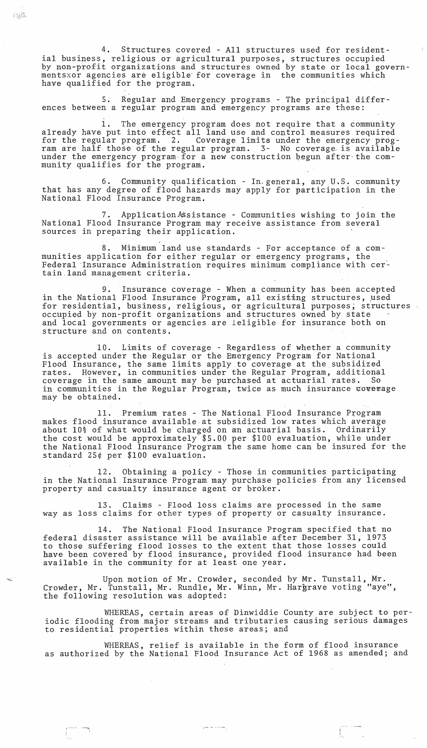4. Structures covered - All structures used for residential business, religious or agricultural purposes, structures occupied by non-profit organizations and structures owned by state or local governmentsxor agencies are eligible' for coverage in the communities which have qualified for the program.

S; Regular and Emergency programs - The principal differences between a regular program and emergency programs are these:

 $\mathbb{C}^{\text{A}}_{\text{M}}\mathbb{R}^{\text{A}}$ 

1. The emergency program does not require that a community already have put into effect all land use and control measures required for the regular program. 2. Coverage limits under the emergency program are half those of the regular program. 3- No coverage is available under the emergency program for a new construction begun after the community qualifies for the program.

6. Community qualification - In-general, any U.S. community that has any degree of flood hazards may apply for participation in the National Flood Insurance Program.

7. Application Assistance - Communities wishing to join the National Flood Insurance Program may receive assistance from several sources in preparing their application.

Minimum land use standards - For acceptance of a communities application for either regular or emergency programs, the Federal 'Insurance Administration requires minimum compliance with cer' tain\_land management criteria.

9. Insurance coverage - When a community has been accepted in the National Flood Insurance Program, all existing structures, used for residential, business, religious, or agricultural purposes, structures occupied by non-profit organizations and structures owned by state and local governments or agencies are leligible for insurance both on structure and on contents.

10. Limits of coverage - Regardless of whether a community is accepted under the Regular or the Emergency Program for National Flood Insurance, the same limits apply to coverage at the subsidized rates. However, in communities under the Regular Program, additional coverage in the same amount may be purchased at actuarial rates. in communities in the Regular Program, twice as much insurance coverage may be obtained.

11. Premium rates - The National Flood Insurance Program makes flood insurance available-at subsidized low rates which average about 10% of what would be charged on an actuarial basis. Ordinarily the cost would be approximately \$5.00 per \$100 evaluation, while under the National Flood Insurance Program the same home can be insured for the standard 25¢ per \$100 evaluation.

12. Obtaining a pOlicy - Those in communities participating in the National Insurance Program may purchase policies from any licensed property and casualty insurance agent or broker.

13. Claims - Flood loss claims are processed in the same way as loss claims for other types of property or casualty insurance.

14. The National Flood Insurance Program specified that no federal disaster assistance will be available after December 31, 1973 to those suffering flood losses to the extent that those losses could have been covered by flood insurance, provided flood insurance had been available in the community for at least one year.

Upon motion of Mr. Crowder, seconded by Mr. Tunstall, Mr. Crowder, Mr. Tunstall, Mr. Rundle, Mr. Winn, Mr. Hargrave voting "aye", the following resolution was adopted:

WHEREAS, certain areas of Dinwiddie County are subject to periodic flooding from major streams and tributaries causing serious damages to residential properties within these areas; and

WHEREAS, relief is available in the form of flood insurance as authorized by the National Flood Insurance Act of 1968 as amended; and

 $\frac{1}{2}$  and  $\frac{1}{2}$  . In the set of the  $\frac{1}{2}$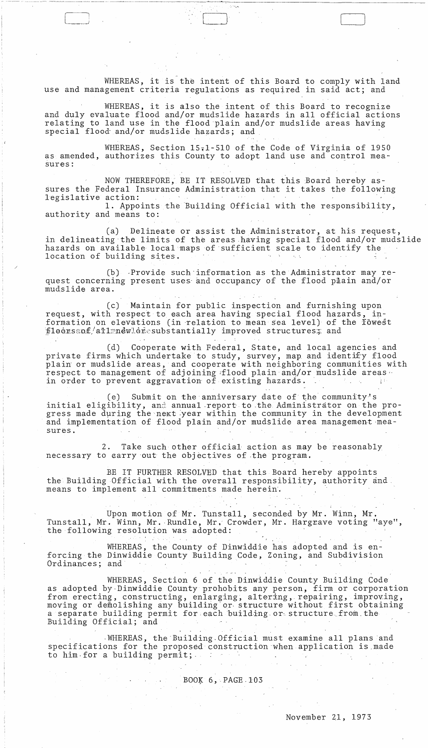WHEREAS, it is the intent of this Board to comply with land use and management criteria regulations as required in said act; and

 $\Box$ 

WHEREAS, it is also the intent of this Board to recognize and duly evaluate flood and/or mudslide hazards in all official actions relating to land use in the flood plain and/or mudslide areas having special flood and/or mudslide hazards; and

WHEREAS, Section 15.1-510 of the Code of Virginia of 1950 as amended, authorizes this County to adopt land use and control measures:

NOW THEREFORE, BE IT RESOLVED that this Board hereby assures the Federal Insurance Administration that it takes the following legislative action: **1.** Appoints the Building Official with the responsibility,

authority and means to:

(a) Delineate or assist the Administrator, at his request, in delineating the limits of the areas having special flood and/or mudslide hazards on available local maps of sufficient scale to identify the location of building sites.

 $(b)$  Provide such information as the Administrator may request concerning present uses and occupancy of the flood plain and/or mudslide area.

(c) Maintain for public inspection and furnishing upon request, with respect to each area having special flood hazards, information on elevations (in relation to mean sea level) of the fowest  $\text{floorsaof/}$ ailmnewloresubstantially improved structures; and

(d) Cooperate with Federal, State, and local agencies and private firms which undertake to study, survey, map and identify flood plain' or mudslide areas, and cooperate with neighboring communities with respect to management of adjoining flood plain and/or mudslide areas. in order to prevent aggravation of existing hazards.

(e) Submit on the anniversary date of the community's initial eligibility, and annual report to the Administrator on the progress made during the next year within the community in the development and implementation of flood plain and/or mudslide area management·measures.

2. Take such other official action as may be reasonably necessary to earry out the objectives of the program.

*BE* IT FURTHER RESOLVED that this Board hereby appoints the Building Official with the overall responsibility, authority and means to implement all commitments made herein.

Upon motion of Mr. Tunstall, seconded by Mr. Winn, Mr. Tunstall, Mr. Winn, Mr. Rundle, Mr. Crowder, Mr. Hargrave voting "aye", the following resolution was adopted:

WHEREAS, the County of Dinwiddie has adopted and is enforcing the Dinwiddie County Building Code, Zoning, and Subdivision Ordinances; and

WHEREAS, Section 6 of the Dinwiddie County Building Code as adopted by-Dinwiddie County prohobits any person, firm or corporation from erecting, constructing, enlarging, altering, repairing, improving, moving or demolishing any building or structure without first obtaining a separate building permit for each building or structure from the Building Official; and

. WHEREAS, the'Building.Official must examine all plans and specifications for the proposed construction when application is.made to him for a building permit;

BOOK  $6,$  PAGE 103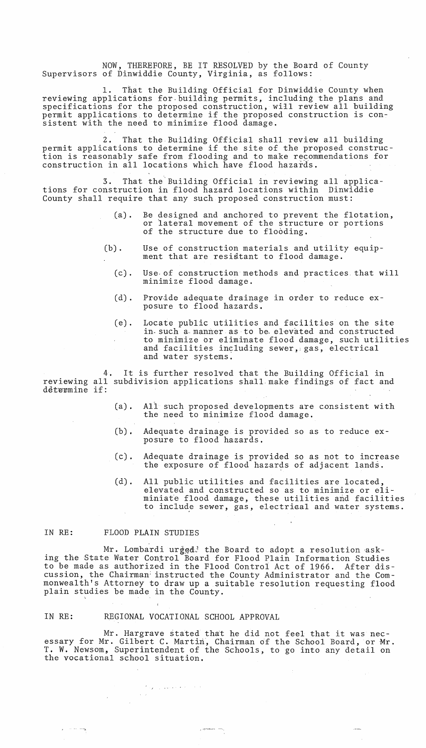NOW, THEREFORE, BE IT RESOLVED by the Board of County Supervisors of Dinwiddie County, Virginia, as follows:

1. That the Building Official for Dinwiddie County when reviewing applications for building permits, including the plans and specifications for the proposed construction, will review all building permit applications to determine if the proposed construction is consistent with the need to minimize flood damage.

2. That the Building Official shall review all building permit applications to determine if the site of the proposed construction is reasonably safe from flooding and to make recommendations for construction in all locations which have flood hazards.

3. That the'Building Official in reviewing all applications for construction in flood hazard locations within Dinwiddie County shall require that any such proposed construction must:

- (a). Be designed and anchored to prevent the flotation, or lateral movement of the structure or portions of the structure due to flooding.
- (b). Use of construction materials and utility equipment that are residtant to flood damage.
	- (c). Use· of construction methods and practices that will minimize flood damage.
	- (d). Provide adequate drainage in order to reduce exposure to flood hazards.
	- (e). Locate public utilities and facilities on the site in-such a manner as to be elevated and constructed to minimize or eliminate flood damage, such utilities and facilities including sewer, gas, electrical and water systems.

It is further resolved that the Building Official in reviewing all subdivision applications shall,make findings of fact and determine if:

- (a). All such proposed developments are consistent with the need to minimize flood damage.
- (b). Adequate drainage is provided so as to reduce exposure to flood hazards.
- (c). Adequate drainage is provided so as not to increase the exposure of flood hazards of adjacent lands.
- (d). All public utilities and facilities are located, elevated and constructed so as to minimize or eliminiate flood damage, these utilities and facilities to include sewer, gas, electrical and water systems.

 $\sim 10^6$ 

#### IN RE: FLOOD PLAIN STUDIES

Mr. Lombardi ur $ig$ ed $3$  the Board to adopt a resolution asking the State Water Control Board for Flood Plain Information Studies to be made as authorized in the Flood Gontrol Act of 1966. After d'iscussion, the Chairman: instructed the County Administrator and the Commonwealth's Attorney to draw up a suitable resolution requesting flood plain studies be made in the County.

#### IN RE: REGIONAL VOCATIONAL SCHOOL APPROVAL

 $\mathcal{F}_{\mathcal{M} \times \mathcal{M} \times \mathcal{M} \times \mathcal{M} \times \mathcal{M} \times \mathcal{M} \times \mathcal{M}}$ 

 $\sim 10^{11}$ 

 $\epsilon$  , and  $\omega$ 

Mr. Hargrave stated that he did not feel that it was necessary for Mr. Gilbert C. Martin, Chairman of the School Board, or Mr. T. W. Newsom, Superintendent of the Schools, to go into any detail on the vocational school situation.

 $\frac{1}{2}$  ;  $\frac{1}{2}$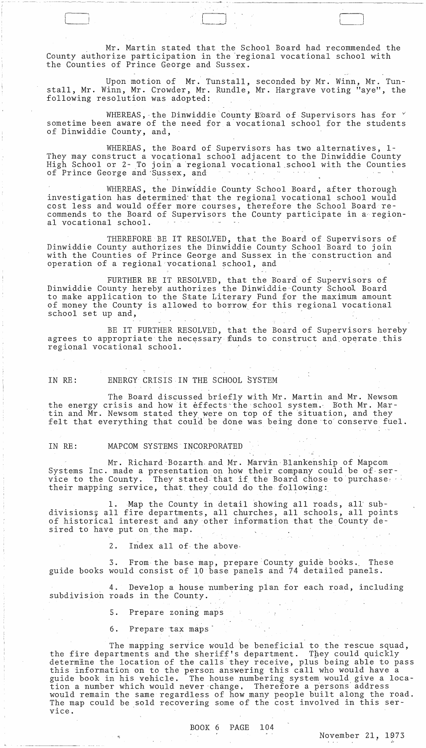Mr. Martin stated that the School Board had recommended the County authorize participation in the 'regional vocational school with the Counties of Prince George and Sussex.

 $\Box$  June 1991 - Andre 1991 - Andre 1991 - Andre 1991 - Andre 1991 - Andre 1991 - Andre 1991 - Andre 1991 - Andre 1991 - Andre 1991 - Andre 1991 - Andre 1991 - Andre 1991 - Andre 1991 - Andre 1991 - Andre 1991 - Andre 199

Upon motion of Mr. Tunstall, seconded by Mr. Winn, Mr. Tunstall, Mr. Winn, Mr. Crowder, Mr. Rundle, Mr. Hargrave voting "aye", the following resolution was adopted:

WHEREAS, the Dinwiddie County Board of Supervisors has for  $\check{ }$ sometime been aware of the need for a'vocational school for the students of Dinwiddie County, and,

WHEREAS, the Board of Supervisors has two alternatives, 1- They may construct a vocational school adjacent to the Dinwiddie County High School or 2- To join a regional vocational school with the Counties of Prince George and Sussex, and

WHEREAS, the Dinwiddie County School Board, after thorough investigation has determined' that the regional vocational school would cost less and would offer more courses, therefore the School Board recommends to the Board of Supervisors the County participate in a'regional vocational school.

THEREFORE BE IT RESOLVED, that the Board of Supervisors of Dinwiddie County authorizes the Dinwiddie County School Board to join with the Counties of Prince George and Sussex in the construction and operation of a regional vocational school, and

FURTHER BE IT RESOLVED, that the Board of Supervisors of Dinwiddie County hereby authorizes the Dinwiddie' County School Board to make application to the State Literary Fund for the maximum amount of money the County is allowed to borrow for this regional vocational school set up and, operation of a regional vocational school, and<br>FURTHER BE IT RESOLVED, that the Board<br>Dinwiddie County hereby authorizes the Dinwiddie Co<br>to make application to the State Literary Fund for<br>of money the County is allowed to

BE IT FURTHER RESOLVED, that the Board of Supervisors hereby agrees to appropriate the necessary funds to construct and operate this regional vocational school. .

IN RE: ENERGY CRISIS· IN THE SCHOOL SYSTEM

The Board discussed briefly with Mr. Martin and Mr. Newsom the energy crisis and how it effects the school system. Both Mr. Martin and Mr. Newsom stated they were on top of the situation, and they felt that everything that could be done was being done to conserve fuel.

IN RE: MAPCOM SYSTEMS INCORPORATED

Mr. Richard Bozarth and Mr. Marvin Blankenship of Mapcom Systems Inc. made a presentation on how their company could be of service to the County. They stated. that if the Board chose to purchase: their mapping service, that they could do the following:

1. Map the County in detail showing all roads, all subdivisions; all fire departments, all churches, all schools, all points of historical interest and any other information that the County desired to have put on the map.

2. Index all of the above

3. From the base map, prepare County guide books. These guide books would consist of 10 base panels and 74 detailed panels.

4. Develop a house numbering plan for each road, including subdivision roads in the County.

5. Prepare zoning maps

6. Prepare tax maps

The mapping service would be beneficial to the rescue squad, the fire departments and the sheriff's department. They could quickly determine the location of the calls they receive, plus being able to pass this information on to the person answering this call who would have a ents intermation on the proof and when ing only the world have narrow in the same of the same of the solid give a locagailed book in his voliteit. The house humbering system weild gave a would remain the same regardless of how many people built along the road. The map could be sold recovering some of the cost involved in this service.

BOOK 6 PAGE 104